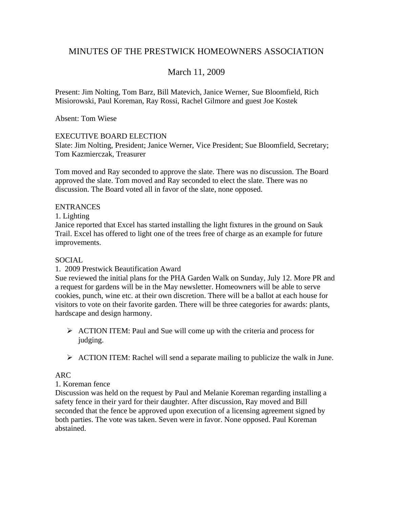# MINUTES OF THE PRESTWICK HOMEOWNERS ASSOCIATION

# March 11, 2009

Present: Jim Nolting, Tom Barz, Bill Matevich, Janice Werner, Sue Bloomfield, Rich Misiorowski, Paul Koreman, Ray Rossi, Rachel Gilmore and guest Joe Kostek

Absent: Tom Wiese

### EXECUTIVE BOARD ELECTION

Slate: Jim Nolting, President; Janice Werner, Vice President; Sue Bloomfield, Secretary; Tom Kazmierczak, Treasurer

Tom moved and Ray seconded to approve the slate. There was no discussion. The Board approved the slate. Tom moved and Ray seconded to elect the slate. There was no discussion. The Board voted all in favor of the slate, none opposed.

#### ENTRANCES

1. Lighting

Janice reported that Excel has started installing the light fixtures in the ground on Sauk Trail. Excel has offered to light one of the trees free of charge as an example for future improvements.

### SOCIAL

### 1. 2009 Prestwick Beautification Award

Sue reviewed the initial plans for the PHA Garden Walk on Sunday, July 12. More PR and a request for gardens will be in the May newsletter. Homeowners will be able to serve cookies, punch, wine etc. at their own discretion. There will be a ballot at each house for visitors to vote on their favorite garden. There will be three categories for awards: plants, hardscape and design harmony.

- $\triangleright$  ACTION ITEM: Paul and Sue will come up with the criteria and process for judging.
- $\triangleright$  ACTION ITEM: Rachel will send a separate mailing to publicize the walk in June.

# ARC

### 1. Koreman fence

Discussion was held on the request by Paul and Melanie Koreman regarding installing a safety fence in their yard for their daughter. After discussion, Ray moved and Bill seconded that the fence be approved upon execution of a licensing agreement signed by both parties. The vote was taken. Seven were in favor. None opposed. Paul Koreman abstained.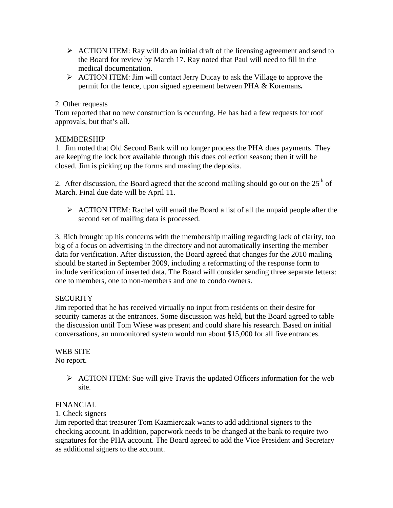- $\triangleright$  ACTION ITEM: Ray will do an initial draft of the licensing agreement and send to the Board for review by March 17. Ray noted that Paul will need to fill in the medical documentation.
- ¾ ACTION ITEM: Jim will contact Jerry Ducay to ask the Village to approve the permit for the fence, upon signed agreement between PHA & Koremans**.**

## 2. Other requests

Tom reported that no new construction is occurring. He has had a few requests for roof approvals, but that's all.

### MEMBERSHIP

1. Jim noted that Old Second Bank will no longer process the PHA dues payments. They are keeping the lock box available through this dues collection season; then it will be closed. Jim is picking up the forms and making the deposits.

2. After discussion, the Board agreed that the second mailing should go out on the  $25<sup>th</sup>$  of March. Final due date will be April 11.

 $\triangleright$  ACTION ITEM: Rachel will email the Board a list of all the unpaid people after the second set of mailing data is processed.

3. Rich brought up his concerns with the membership mailing regarding lack of clarity, too big of a focus on advertising in the directory and not automatically inserting the member data for verification. After discussion, the Board agreed that changes for the 2010 mailing should be started in September 2009, including a reformatting of the response form to include verification of inserted data. The Board will consider sending three separate letters: one to members, one to non-members and one to condo owners.

# **SECURITY**

Jim reported that he has received virtually no input from residents on their desire for security cameras at the entrances. Some discussion was held, but the Board agreed to table the discussion until Tom Wiese was present and could share his research. Based on initial conversations, an unmonitored system would run about \$15,000 for all five entrances.

# WEB SITE

No report.

 $\triangleright$  ACTION ITEM: Sue will give Travis the updated Officers information for the web site.

### FINANCIAL

1. Check signers

Jim reported that treasurer Tom Kazmierczak wants to add additional signers to the checking account. In addition, paperwork needs to be changed at the bank to require two signatures for the PHA account. The Board agreed to add the Vice President and Secretary as additional signers to the account.